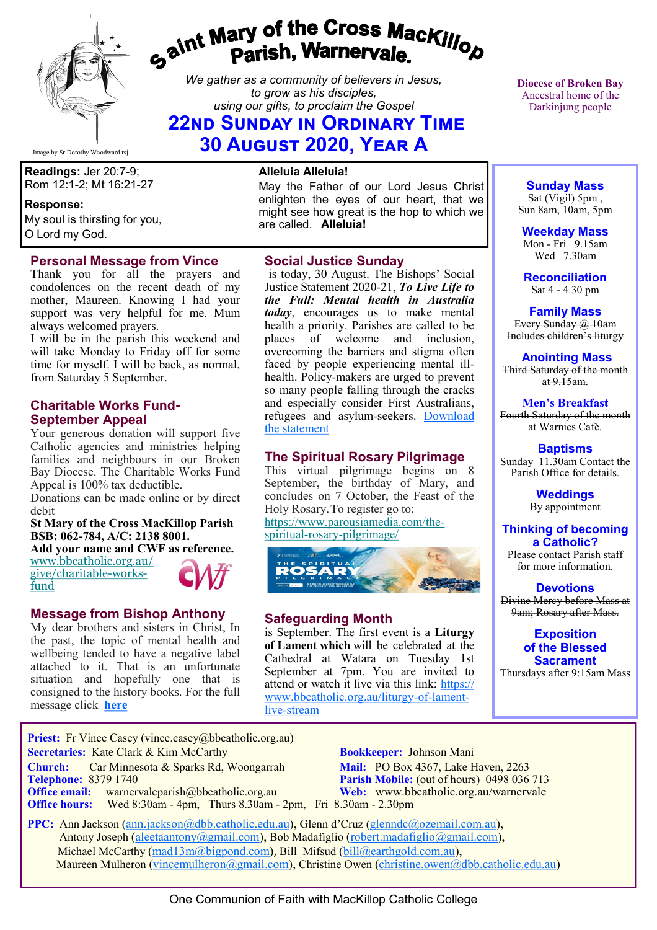

# *gaint Mary of the Cross MacKillop*<br>*gaint* **Parish, Warnervale.**

*We gather as a community of believers in Jesus, to grow as his disciples, using our gifts, to proclaim the Gospel*

# **22nd Sunday in Ordinary Time 30 August 2020, Year A**

Image by Sr Dorothy Woodward rsj

**Readings:** Jer 20:7-9; Rom 12:1-2; Mt 16:21-27

#### **Response:**

My soul is thirsting for you, O Lord my God.

### **Personal Message from Vince**

Thank you for all the prayers and condolences on the recent death of my mother, Maureen. Knowing I had your support was very helpful for me. Mum always welcomed prayers.

I will be in the parish this weekend and will take Monday to Friday off for some time for myself. I will be back, as normal, from Saturday 5 September.

# **Charitable Works Fund-September Appeal**

Your generous donation will support five Catholic agencies and ministries helping families and neighbours in our Broken Bay Diocese. The Charitable Works Fund Appeal is 100% tax deductible.

Donations can be made online or by direct debit

#### **St Mary of the Cross MacKillop Parish BSB: 062-784, A/C: 2138 8001.**

**Add your name and CWF as reference.**

[www.bbcatholic.org.au/](https://bbcatholic.us8.list-manage.com/track/click?u=466af249e088db70ab864d088&id=5a94d43080&e=e312df0f80) [give/charitable](https://bbcatholic.us8.list-manage.com/track/click?u=466af249e088db70ab864d088&id=5a94d43080&e=e312df0f80)-works[fund](https://bbcatholic.us8.list-manage.com/track/click?u=466af249e088db70ab864d088&id=5a94d43080&e=e312df0f80)



## **Message from Bishop Anthony**

My dear brothers and sisters in Christ, In the past, the topic of mental health and wellbeing tended to have a negative label attached to it. That is an unfortunate situation and hopefully one that is consigned to the history books. For the full message click **[here](https://bbcatholic.us8.list-manage.com/track/click?u=466af249e088db70ab864d088&id=a777b67d8f&e=e312df0f80)**

#### **Alleluia Alleluia!**

May the Father of our Lord Jesus Christ enlighten the eyes of our heart, that we might see how great is the hop to which we are called. **Alleluia!**

### **Social Justice Sunday**

is today, 30 August. The Bishops' Social Justice Statement 2020-21, *To Live Life to the Full: Mental health in Australia today*, encourages us to make mental health a priority. Parishes are called to be places of welcome and inclusion, overcoming the barriers and stigma often faced by people experiencing mental illhealth. Policy-makers are urged to prevent so many people falling through the cracks and especially consider First Australians, refugees and asylum-seekers. [Download](https://bbcatholic.us8.list-manage.com/track/click?u=466af249e088db70ab864d088&id=32b85c1027&e=082a8c9b01)  [the statement](https://bbcatholic.us8.list-manage.com/track/click?u=466af249e088db70ab864d088&id=32b85c1027&e=082a8c9b01)

# **The Spiritual Rosary Pilgrimage**

This virtual pilgrimage begins on 8 September, the birthday of Mary, and concludes on 7 October, the Feast of the Holy Rosary.To register go to: [https://www.parousiamedia.com/the](https://bbcatholic.us8.list-manage.com/track/click?u=466af249e088db70ab864d088&id=ff7c7f4ef2&e=e312df0f80)spiritual-rosary-[pilgrimage/](https://bbcatholic.us8.list-manage.com/track/click?u=466af249e088db70ab864d088&id=ff7c7f4ef2&e=e312df0f80)



## **Safeguarding Month**

is September. The first event is a **Liturgy of Lament which** will be celebrated at the Cathedral at Watara on Tuesday 1st September at 7pm. You are invited to attend or watch it live via this link: [https://](https://www.bbcatholic.org.au/liturgy-of-lament-live-stream) [www.bbcatholic.org.au/liturgy](https://www.bbcatholic.org.au/liturgy-of-lament-live-stream)-of-lamentlive-[stream](https://www.bbcatholic.org.au/liturgy-of-lament-live-stream)

**Diocese of Broken Bay**  Ancestral home of the Darkinjung people

# **Sunday Mass**

Sat (Vigil) 5pm , Sun 8am, 10am, 5pm

**Weekday Mass** Mon - Fri 9.15am Wed 7.30am

**Reconciliation** Sat 4 - 4.30 pm

**Family Mass**  Every Sunday @ 10am Includes children's liturgy

**Anointing Mass** Third Saturday of the month  $at 9.15am.$ 

**Men's Breakfast** Fourth Saturday of the month at Warnies Café.

**Baptisms** Sunday 11.30am Contact the Parish Office for details.

> **Weddings**  By appointment

#### **Thinking of becoming a Catholic?** Please contact Parish staff

for more information.

**Devotions** Divine Mercy before Mass at 9am; Rosary after Mass.

#### **Exposition of the Blessed Sacrament**

Thursdays after 9:15am Mass

**Priest:** Fr Vince Casey (vince.casey@bbcatholic.org.au)  **Secretaries:** Kate Clark & Kim McCarthy **Bookkeeper:** Johnson Mani

**Office hours:** Wed 8:30am - 4pm, Thurs 8.30am - 2pm, Fri 8.30am - 2.30pm

**Church:** Car Minnesota & Sparks Rd, Woongarrah **Mail:** PO Box 4367, Lake Haven, 2263<br> **Telephone:** 8379 1740 **Parish Mobile:** (out of hours) 0498 036 **Parish Mobile:** (out of hours) 0498 036 713 **Office email:** warnervaleparish@bbcatholic.org.au **Web:** [www.bbcatholic.org.au/warnervale](https://www.bbcatholic.org.au/warnervale)

 **PPC:** Ann Jackson ([ann.jackson@dbb.catholic.edu.au\),](mailto:ann.jackson@dbb.catholic.edu.au) Glenn d'Cruz ([glenndc@ozemail.com.au\)](mailto:glenndc@ozemail.com.au), Antony Joseph ([aleetaantony@gmail.com\),](mailto:aleetaantony@gmail.com) Bob Madafiglio [\(robert.madafiglio@gmail.com\),](mailto:robert.madafiglio@gmail.com) Michael McCarthy ([mad13m@bigpond.com\)](mailto:mad13m@bigpond.com), Bill Mifsud ([bill@earthgold.com.au\),](mailto:bill@earthgold.com.au) Maureen Mulheron ([vincemulheron@gmail.com\)](mailto:vincemulheron@gmail.com), Christine Owen (christine.owen[@dbb.catholic.edu.au\)](mailto:ann.jackson@dbb.catholic.edu.au)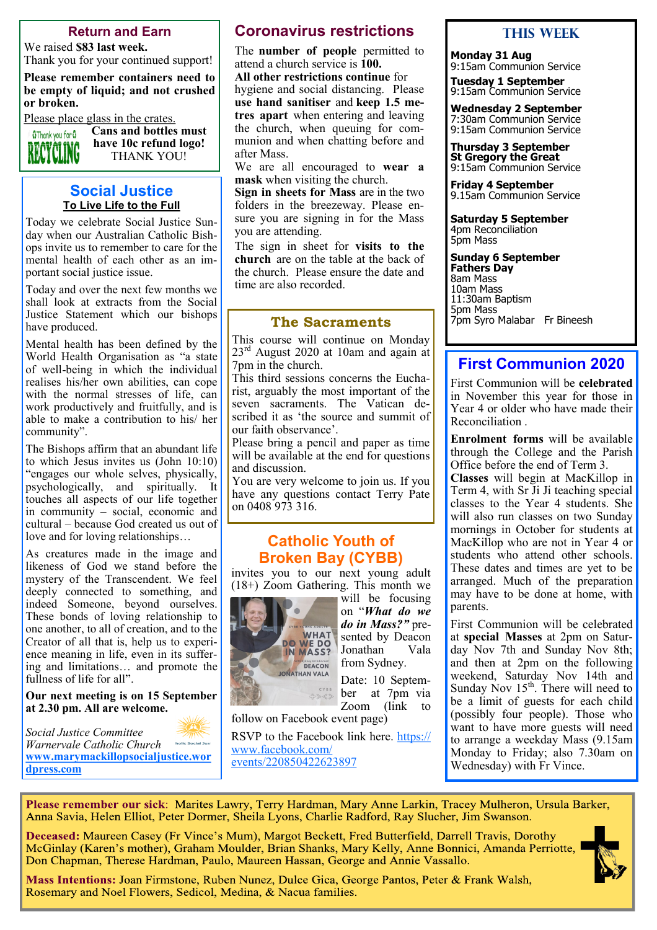#### **Return and Earn**

We raised **\$83 last week.**

Thank you for your continued support! **Please remember containers need to be empty of liquid; and not crushed** 

Please place glass in the crates.



**or broken.** 

**Cans and bottles must have 10c refund logo!** THANK YOU!

## **Social Justice To Live Life to the Full**

Today we celebrate Social Justice Sunday when our Australian Catholic Bishops invite us to remember to care for the mental health of each other as an important social justice issue.

Today and over the next few months we shall look at extracts from the Social Justice Statement which our bishops have produced.

Mental health has been defined by the World Health Organisation as "a state of well-being in which the individual realises his/her own abilities, can cope with the normal stresses of life, can work productively and fruitfully, and is able to make a contribution to his/ her community".

The Bishops affirm that an abundant life to which Jesus invites us (John 10:10) "engages our whole selves, physically, psychologically, and spiritually. It touches all aspects of our life together in community – social, economic and cultural – because God created us out of love and for loving relationships…

As creatures made in the image and likeness of God we stand before the mystery of the Transcendent. We feel deeply connected to something, and indeed Someone, beyond ourselves. These bonds of loving relationship to one another, to all of creation, and to the Creator of all that is, help us to experience meaning in life, even in its suffering and limitations… and promote the fullness of life for all".

**Our next meeting is on 15 September at 2.30 pm. All are welcome.**

*Social Justice Committee Warnervale Catholic Church* holic Social Just **[www.marymackillopsocialjustice.wor](http://www.marymackillopsocialjustice.wordpress.com) [dpress.com](http://www.marymackillopsocialjustice.wordpress.com)**

# **Coronavirus restrictions**

The **number of people** permitted to attend a church service is **100.** 

**All other restrictions continue** for hygiene and social distancing. Please **use hand sanitiser** and **keep 1.5 metres apart** when entering and leaving the church, when queuing for communion and when chatting before and after Mass.

We are all encouraged to **wear a mask** when visiting the church.

**Sign in sheets for Mass** are in the two folders in the breezeway. Please ensure you are signing in for the Mass you are attending.

The sign in sheet for **visits to the church** are on the table at the back of the church. Please ensure the date and time are also recorded.

# **The Sacraments**

This course will continue on Monday 23<sup>rd</sup> August 2020 at 10am and again at 7pm in the church.

This third sessions concerns the Eucharist, arguably the most important of the seven sacraments. The Vatican described it as 'the source and summit of our faith observance'.

Please bring a pencil and paper as time will be available at the end for questions and discussion.

You are very welcome to join us. If you have any questions contact Terry Pate on 0408 973 316.

# **Catholic Youth of Broken Bay (CYBB)**

invites you to our next young adult (18+) Zoom Gathering. This month we



will be focusing on "*What do we do in Mass?*" presented by Deacon Jonathan Vala from Sydney. Date: 10 Septem-

ber at 7pm via Zoom (link to

follow on Facebook event page)

RSVP to the Facebook link here. [https://](https://bbcatholic.us8.list-manage.com/track/click?u=466af249e088db70ab864d088&id=63e3aa1050&e=082a8c9b01) [www.facebook.com/](https://bbcatholic.us8.list-manage.com/track/click?u=466af249e088db70ab864d088&id=63e3aa1050&e=082a8c9b01) [events/220850422623897](https://bbcatholic.us8.list-manage.com/track/click?u=466af249e088db70ab864d088&id=63e3aa1050&e=082a8c9b01)

# **This WeeK**

**Monday 31 Aug** 9:15am Communion Service

**Tuesday 1 September** 9:15am Communion Service

**Wednesday 2 September** 7:30am Communion Service 9:15am Communion Service

**Thursday 3 September St Gregory the Great** 9:15am Communion Service

**Friday 4 September** 9.15am Communion Service

**Saturday 5 September** 4pm Reconciliation 5pm Mass

**Sunday 6 September Fathers Day** 8am Mass 10am Mass 11:30am Baptism 5pm Mass 7pm Syro Malabar Fr Bineesh

# **First Communion 2020**

First Communion will be **celebrated** in November this year for those in Year 4 or older who have made their Reconciliation .

**Enrolment forms** will be available through the College and the Parish Office before the end of Term 3.

**Classes** will begin at MacKillop in Term 4, with Sr Ji Ji teaching special classes to the Year 4 students. She will also run classes on two Sunday mornings in October for students at MacKillop who are not in Year 4 or students who attend other schools. These dates and times are yet to be arranged. Much of the preparation may have to be done at home, with parents.

First Communion will be celebrated at **special Masses** at 2pm on Saturday Nov 7th and Sunday Nov 8th; and then at 2pm on the following weekend, Saturday Nov 14th and Sunday Nov  $15<sup>th</sup>$ . There will need to be a limit of guests for each child (possibly four people). Those who want to have more guests will need to arrange a weekday Mass (9.15am Monday to Friday; also 7.30am on Wednesday) with Fr Vince.

Please remember our sick: Marites Lawry, Terry Hardman, Mary Anne Larkin, Tracey Mulheron, Ursula Barker, Anna Savia, Helen Elliot, Peter Dormer, Sheila Lyons, Charlie Radford, Ray Slucher, Jim Swanson.

Deceased: Maureen Casey (Fr Vince's Mum), Margot Beckett, Fred Butterfield, Darrell Travis, Dorothy McGinlay (Karen's mother), Graham Moulder, Brian Shanks, Mary Kelly, Anne Bonnici, Amanda Perriotte, Don Chapman, Therese Hardman, Paulo, Maureen Hassan, George and Annie Vassallo.



Mass Intentions: Joan Firmstone, Ruben Nunez, Dulce Gica, George Pantos, Peter & Frank Walsh, Rosemary and Noel Flowers, Sedicol, Medina, & Nacua families.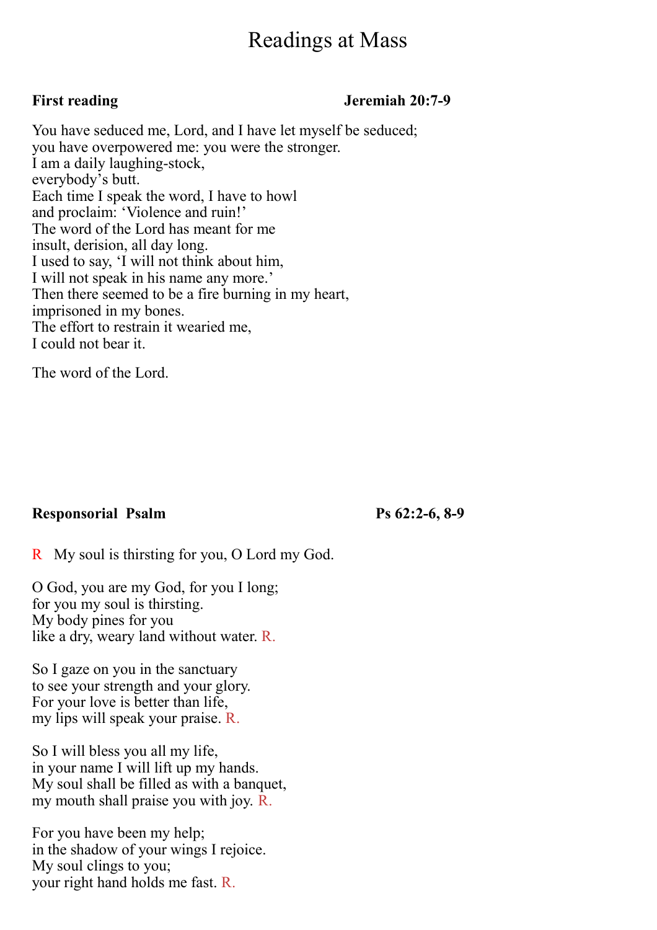# Readings at Mass

# First reading **Jeremiah 20:7-9**

You have seduced me, Lord, and I have let myself be seduced; you have overpowered me: you were the stronger. I am a daily laughing-stock, everybody's butt. Each time I speak the word, I have to howl and proclaim: 'Violence and ruin!' The word of the Lord has meant for me insult, derision, all day long. I used to say, 'I will not think about him, I will not speak in his name any more.' Then there seemed to be a fire burning in my heart, imprisoned in my bones. The effort to restrain it wearied me, I could not bear it.

The word of the Lord.

# **Responsorial Psalm Ps 62:2-6, 8-9**

R My soul is thirsting for you, O Lord my God.

O God, you are my God, for you I long; for you my soul is thirsting. My body pines for you like a dry, weary land without water. R.

So I gaze on you in the sanctuary to see your strength and your glory. For your love is better than life, my lips will speak your praise. R.

So I will bless you all my life, in your name I will lift up my hands. My soul shall be filled as with a banquet, my mouth shall praise you with joy. R.

For you have been my help; in the shadow of your wings I rejoice. My soul clings to you; your right hand holds me fast. R.